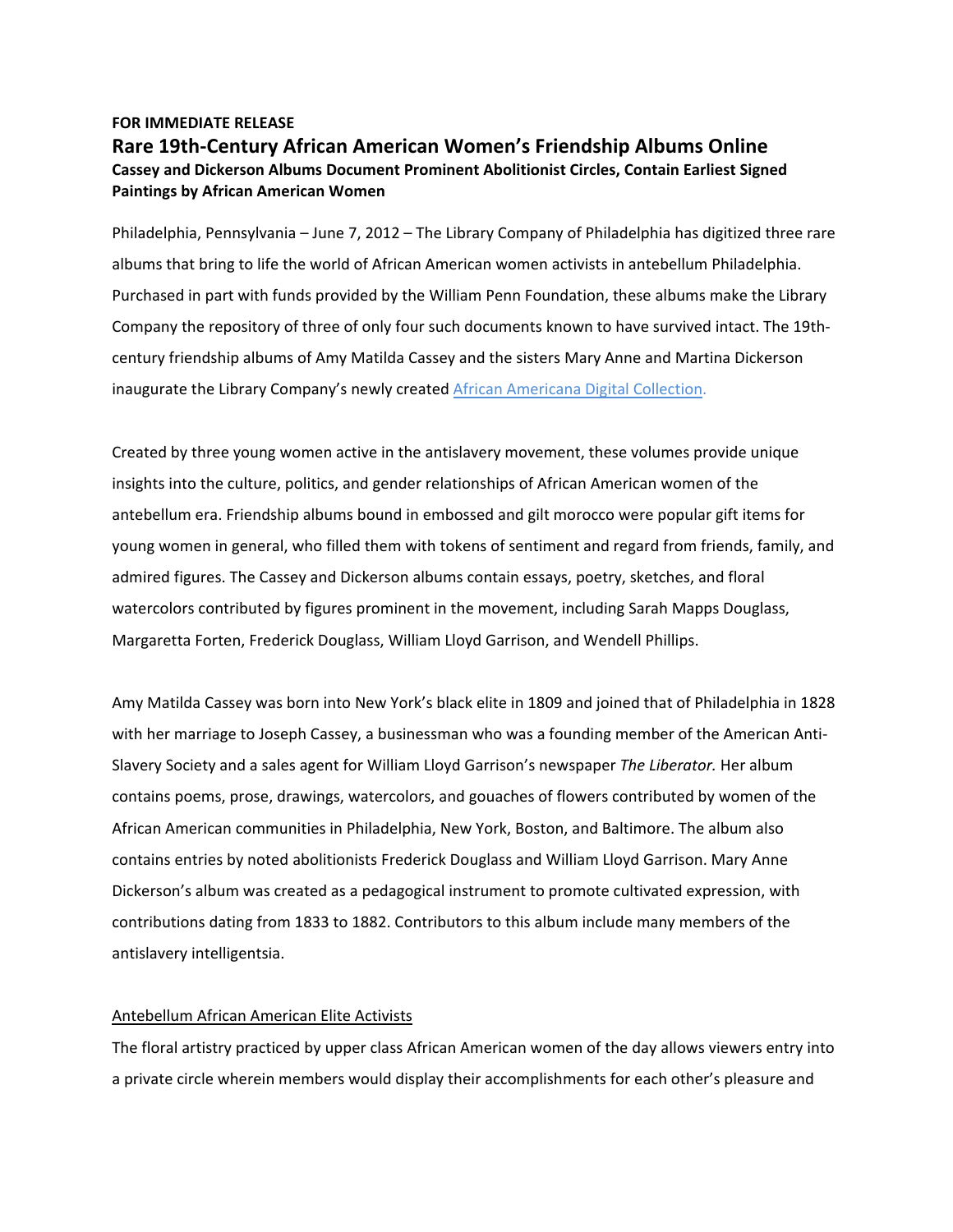## **FOR IMMEDIATE RELEASE Rare 19th‐Century African American Women's Friendship Albums Online Cassey and Dickerson Albums Document Prominent Abolitionist Circles, Contain Earliest Signed Paintings by African American Women**

Philadelphia, Pennsylvania – June 7, 2012 – The Library Company of Philadelphia has digitized three rare albums that bring to life the world of African American women activists in antebellum Philadelphia. Purchased in part with funds provided by the William Penn Foundation, these albums make the Library Company the repository of three of only four such documents known to have survived intact. The 19th‐ century friendship albums of Amy Matilda Cassey and the sisters Mary Anne and Martina Dickerson inaugurate the Library Company's newly created African Americana Digital Collection.

Created by three young women active in the antislavery movement, these volumes provide unique insights into the culture, politics, and gender relationships of African American women of the antebellum era. Friendship albums bound in embossed and gilt morocco were popular gift items for young women in general, who filled them with tokens of sentiment and regard from friends, family, and admired figures. The Cassey and Dickerson albums contain essays, poetry, sketches, and floral watercolors contributed by figures prominent in the movement, including Sarah Mapps Douglass, Margaretta Forten, Frederick Douglass, William Lloyd Garrison, and Wendell Phillips.

Amy Matilda Cassey was born into New York's black elite in 1809 and joined that of Philadelphia in 1828 with her marriage to Joseph Cassey, a businessman who was a founding member of the American Anti-Slavery Society and a sales agent for William Lloyd Garrison's newspaper *The Liberator.* Her album contains poems, prose, drawings, watercolors, and gouaches of flowers contributed by women of the African American communities in Philadelphia, New York, Boston, and Baltimore. The album also contains entries by noted abolitionists Frederick Douglass and William Lloyd Garrison. Mary Anne Dickerson's album was created as a pedagogical instrument to promote cultivated expression, with contributions dating from 1833 to 1882. Contributors to this album include many members of the antislavery intelligentsia.

## Antebellum African American Elite Activists

The floral artistry practiced by upper class African American women of the day allows viewers entry into a private circle wherein members would display their accomplishments for each other's pleasure and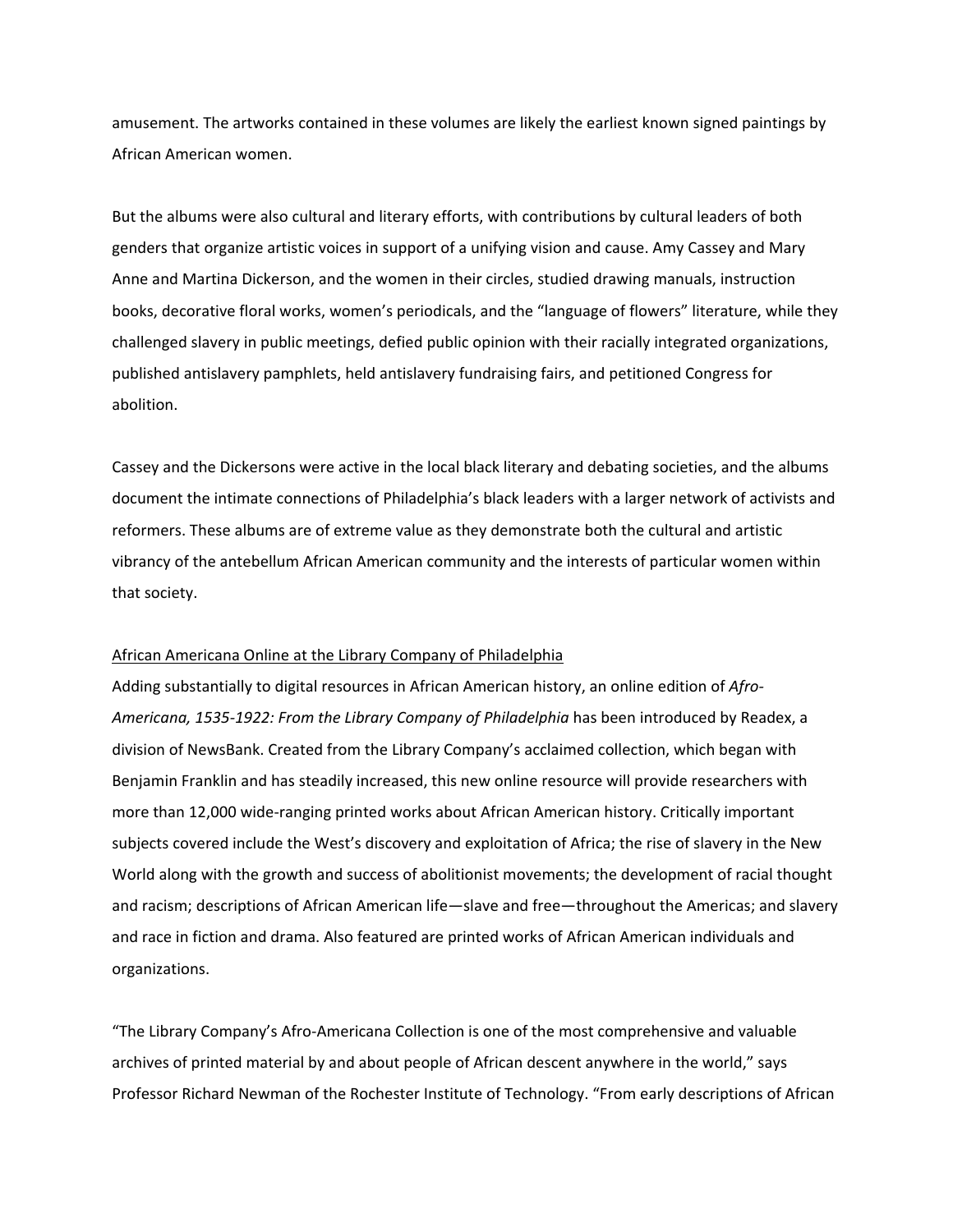amusement. The artworks contained in these volumes are likely the earliest known signed paintings by African American women.

But the albums were also cultural and literary efforts, with contributions by cultural leaders of both genders that organize artistic voices in support of a unifying vision and cause. Amy Cassey and Mary Anne and Martina Dickerson, and the women in their circles, studied drawing manuals, instruction books, decorative floral works, women's periodicals, and the "language of flowers" literature, while they challenged slavery in public meetings, defied public opinion with their racially integrated organizations, published antislavery pamphlets, held antislavery fundraising fairs, and petitioned Congress for abolition.

Cassey and the Dickersons were active in the local black literary and debating societies, and the albums document the intimate connections of Philadelphia's black leaders with a larger network of activists and reformers. These albums are of extreme value as they demonstrate both the cultural and artistic vibrancy of the antebellum African American community and the interests of particular women within that society.

## African Americana Online at the Library Company of Philadelphia

Adding substantially to digital resources in African American history, an online edition of *Afro‐ Americana, 1535‐1922: From the Library Company of Philadelphia* has been introduced by Readex, a division of NewsBank. Created from the Library Company's acclaimed collection, which began with Benjamin Franklin and has steadily increased, this new online resource will provide researchers with more than 12,000 wide-ranging printed works about African American history. Critically important subjects covered include the West's discovery and exploitation of Africa; the rise of slavery in the New World along with the growth and success of abolitionist movements; the development of racial thought and racism; descriptions of African American life—slave and free—throughout the Americas; and slavery and race in fiction and drama. Also featured are printed works of African American individuals and organizations.

"The Library Company's Afro‐Americana Collection is one of the most comprehensive and valuable archives of printed material by and about people of African descent anywhere in the world," says Professor Richard Newman of the Rochester Institute of Technology. "From early descriptions of African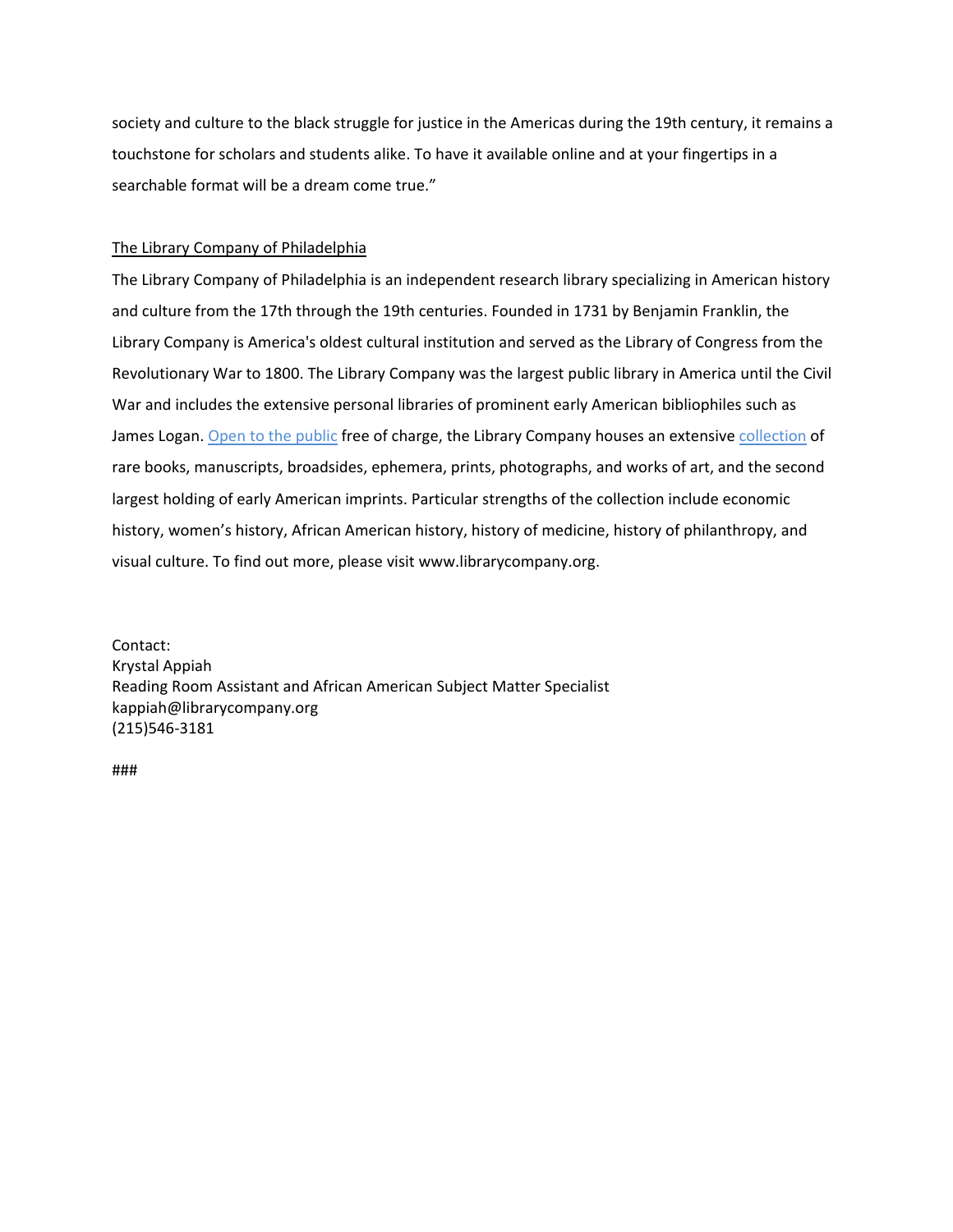society and culture to the black struggle for justice in the Americas during the 19th century, it remains a touchstone for scholars and students alike. To have it available online and at your fingertips in a searchable format will be a dream come true."

## The Library Company of Philadelphia

The Library Company of Philadelphia is an independent research library specializing in American history and culture from the 17th through the 19th centuries. Founded in 1731 by Benjamin Franklin, the Library Company is America's oldest cultural institution and served as the Library of Congress from the Revolutionary War to 1800. The Library Company was the largest public library in America until the Civil War and includes the extensive personal libraries of prominent early American bibliophiles such as James Logan. Open to the public free of charge, the Library Company houses an extensive collection of rare books, manuscripts, broadsides, ephemera, prints, photographs, and works of art, and the second largest holding of early American imprints. Particular strengths of the collection include economic history, women's history, African American history, history of medicine, history of philanthropy, and visual culture. To find out more, please visit www.librarycompany.org.

Contact: Krystal Appiah Reading Room Assistant and African American Subject Matter Specialist kappiah@librarycompany.org (215)546‐3181

###